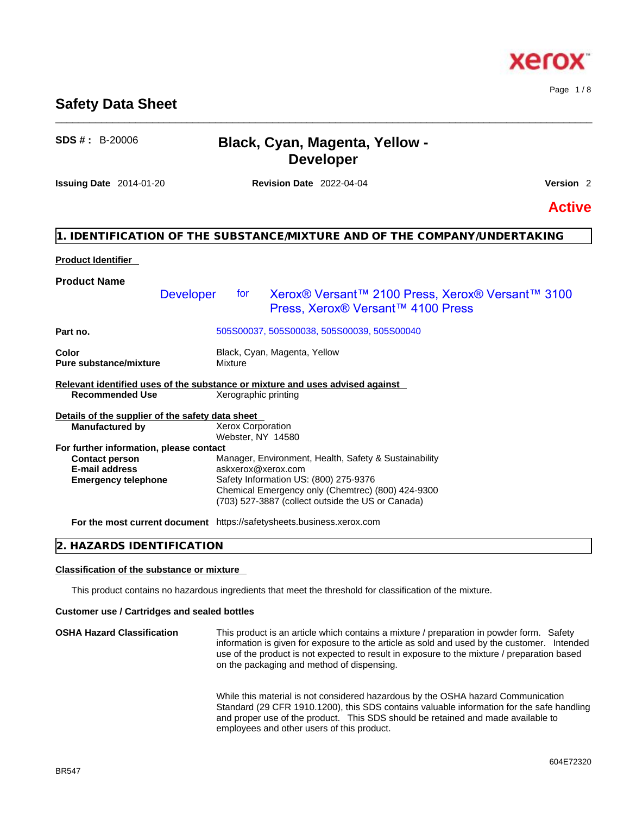# **Safety Data Sheet** \_\_\_\_\_\_\_\_\_\_\_\_\_\_\_\_\_\_\_\_\_\_\_\_\_\_\_\_\_\_\_\_\_\_\_\_\_\_\_\_\_\_\_\_\_\_\_\_\_\_\_\_\_\_\_\_\_\_\_\_\_\_\_\_\_\_\_\_\_\_\_\_\_\_\_\_\_\_\_\_\_\_\_\_\_\_\_\_\_\_\_\_\_\_

| $SDS #: B-20006$                                                                                                        | <b>Black, Cyan, Magenta, Yellow -</b><br><b>Developer</b>                                                                                                                                                                      |                                                  |
|-------------------------------------------------------------------------------------------------------------------------|--------------------------------------------------------------------------------------------------------------------------------------------------------------------------------------------------------------------------------|--------------------------------------------------|
| <b>Issuing Date</b> 2014-01-20                                                                                          | <b>Revision Date 2022-04-04</b>                                                                                                                                                                                                | Version <sub>2</sub>                             |
|                                                                                                                         |                                                                                                                                                                                                                                | <b>Active</b>                                    |
|                                                                                                                         | 1. IDENTIFICATION OF THE SUBSTANCE/MIXTURE AND OF THE COMPANY/UNDERTAKING                                                                                                                                                      |                                                  |
| <b>Product Identifier</b>                                                                                               |                                                                                                                                                                                                                                |                                                  |
| <b>Product Name</b><br><b>Developer</b>                                                                                 | tor<br>Press, Xerox® Versant™ 4100 Press                                                                                                                                                                                       | Xerox® Versant™ 2100 Press, Xerox® Versant™ 3100 |
| Part no.                                                                                                                | 505S00037, 505S00038, 505S00039, 505S00040                                                                                                                                                                                     |                                                  |
| Color<br><b>Pure substance/mixture</b>                                                                                  | Black, Cyan, Magenta, Yellow<br>Mixture                                                                                                                                                                                        |                                                  |
| <b>Recommended Use</b>                                                                                                  | Relevant identified uses of the substance or mixture and uses advised against<br>Xerographic printing                                                                                                                          |                                                  |
| Details of the supplier of the safety data sheet<br><b>Manufactured by</b>                                              | <b>Xerox Corporation</b><br>Webster, NY 14580                                                                                                                                                                                  |                                                  |
| For further information, please contact<br><b>Contact person</b><br><b>E-mail address</b><br><b>Emergency telephone</b> | Manager, Environment, Health, Safety & Sustainability<br>askxerox@xerox.com<br>Safety Information US: (800) 275-9376<br>Chemical Emergency only (Chemtrec) (800) 424-9300<br>(703) 527-3887 (collect outside the US or Canada) |                                                  |
|                                                                                                                         | For the most current document https://safetysheets.business.xerox.com                                                                                                                                                          |                                                  |

# **2. HAZARDS IDENTIFICATION**

# **Classification of the substance or mixture**

This product contains no hazardous ingredients that meet the threshold for classification of the mixture.

# **Customer use / Cartridges and sealed bottles**

**OSHA Hazard Classification** This product is an article which contains a mixture / preparation in powder form. Safety information is given for exposure to the article as sold and used by the customer. Intended use of the product is not expected to result in exposure to the mixture / preparation based on the packaging and method of dispensing.

> While this material is not considered hazardous by the OSHA hazard Communication Standard (29 CFR 1910.1200), this SDS contains valuable information for the safe handling and proper use of the product. This SDS should be retained and made available to employees and other users of this product.



# xero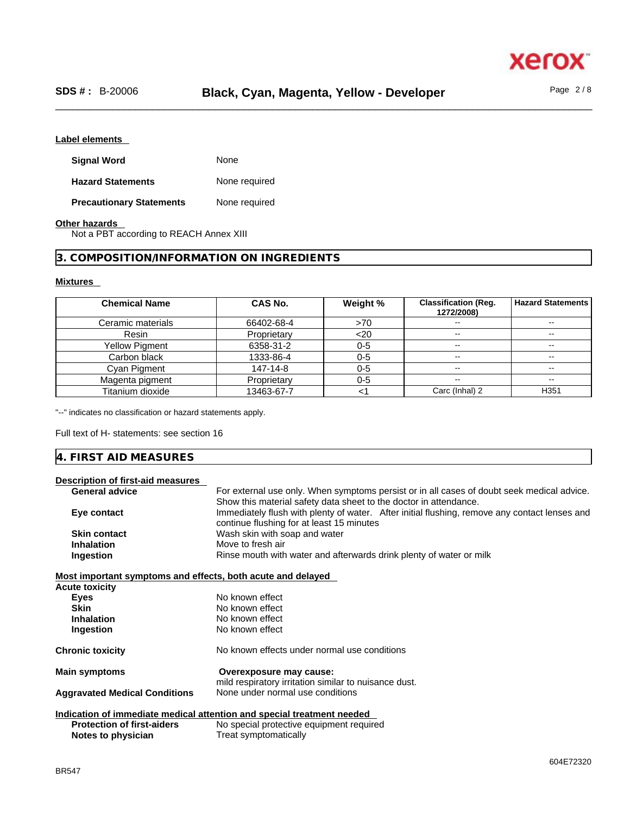

# **Label elements**

| <b>Signal Word</b>              | None          |
|---------------------------------|---------------|
| <b>Hazard Statements</b>        | None required |
| <b>Precautionary Statements</b> | None required |

# **Other hazards**

Not a PBT according to REACH Annex XIII

# **3. COMPOSITION/INFORMATION ON INGREDIENTS**

# **Mixtures**

| <b>Chemical Name</b>  | CAS No.     | Weight % | <b>Classification (Reg.</b><br>1272/2008) | <b>Hazard Statements</b> |
|-----------------------|-------------|----------|-------------------------------------------|--------------------------|
| Ceramic materials     | 66402-68-4  | >70      | $\overline{\phantom{a}}$                  | --                       |
| Resin                 | Proprietary | $<$ 20   | $- -$                                     | $- -$                    |
| <b>Yellow Pigment</b> | 6358-31-2   | $0 - 5$  | --                                        | $- -$                    |
| Carbon black          | 1333-86-4   | $0 - 5$  | $- -$                                     | --                       |
| Cyan Pigment          | 147-14-8    | $0 - 5$  | $- -$                                     |                          |
| Magenta pigment       | Proprietary | $0 - 5$  | $- -$                                     | $\overline{\phantom{m}}$ |
| Titanium dioxide      | 13463-67-7  |          | Carc (Inhal) 2                            | H <sub>351</sub>         |

"--" indicates no classification or hazard statements apply.

Full text of H- statements: see section 16

# **4. FIRST AID MEASURES**

# **Description of first-aid measures**

| <b>General advice</b>                                       | For external use only. When symptoms persist or in all cases of doubt seek medical advice.    |
|-------------------------------------------------------------|-----------------------------------------------------------------------------------------------|
|                                                             | Show this material safety data sheet to the doctor in attendance.                             |
| Eye contact                                                 | Immediately flush with plenty of water. After initial flushing, remove any contact lenses and |
|                                                             | continue flushing for at least 15 minutes                                                     |
| <b>Skin contact</b>                                         | Wash skin with soap and water                                                                 |
| <b>Inhalation</b>                                           | Move to fresh air                                                                             |
| Ingestion                                                   | Rinse mouth with water and afterwards drink plenty of water or milk                           |
| Most important symptoms and effects, both acute and delayed |                                                                                               |
| <b>Acute toxicity</b>                                       |                                                                                               |
| <b>Eyes</b>                                                 | No known effect                                                                               |
| <b>Skin</b>                                                 | No known effect                                                                               |
| <b>Inhalation</b>                                           | No known effect                                                                               |
| Ingestion                                                   | No known effect                                                                               |
| <b>Chronic toxicity</b>                                     | No known effects under normal use conditions                                                  |
| <b>Main symptoms</b>                                        | Overexposure may cause:                                                                       |
|                                                             | mild respiratory irritation similar to nuisance dust.                                         |
| <b>Aggravated Medical Conditions</b>                        | None under normal use conditions                                                              |
|                                                             | Indication of immediate medical attention and special treatment needed                        |
| <b>Protection of first-aiders</b>                           | No special protective equipment required                                                      |
| Notes to physician                                          | Treat symptomatically                                                                         |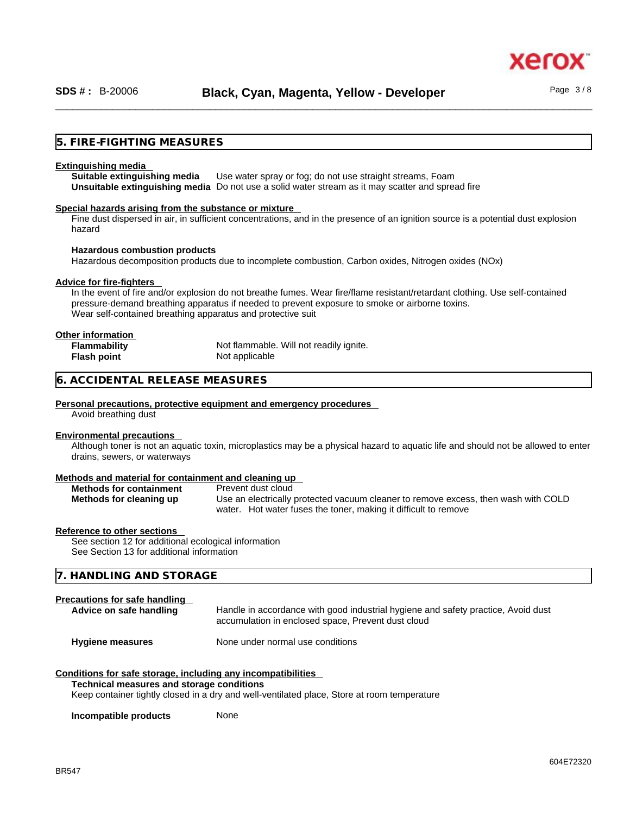# **5. FIRE-FIGHTING MEASURES**

#### **Extinguishing media**

**Suitable extinguishing media** Use water spray or fog; do not use straight streams, Foam **Unsuitable extinguishing media** Do not use a solid water stream as it may scatterand spread fire

#### **Special hazards arising from the substance or mixture**

Fine dust dispersed in air, in sufficient concentrations, and in the presence of an ignition source is a potential dust explosion hazard

#### **Hazardous combustion products**

Hazardous decomposition products due to incomplete combustion, Carbon oxides, Nitrogen oxides (NOx)

#### **Advice for fire-fighters**

In the event of fire and/or explosion do not breathe fumes. Wear fire/flame resistant/retardant clothing. Use self-contained pressure-demand breathing apparatus if needed to prevent exposure to smoke or airborne toxins. Wear self-contained breathing apparatus and protective suit

| Other information   |                                         |
|---------------------|-----------------------------------------|
| <b>Flammability</b> | Not flammable. Will not readily ignite. |
| <b>Flash point</b>  | Not applicable                          |

# **6. ACCIDENTAL RELEASE MEASURES**

#### **Personal precautions, protective equipment and emergency procedures**

Avoid breathing dust

## **Environmental precautions**

Although toner is not an aquatic toxin, microplastics may be a physical hazard to aquatic life and should not be allowed to enter drains, sewers, or waterways

#### **Methods and material for containment and cleaning up**

| <b>Methods for containment</b> | Prevent dust cloud                                                                 |
|--------------------------------|------------------------------------------------------------------------------------|
| Methods for cleaning up        | Use an electrically protected vacuum cleaner to remove excess, then wash with COLD |
|                                | water. Hot water fuses the toner, making it difficult to remove                    |

#### **Reference to other sections**

See section 12 for additional ecological information See Section 13 for additional information

# **7. HANDLING AND STORAGE**

# **Precautions for safe handling**

| Advice on safe handling | Handle in accordance with good industrial hygiene and safety practice, Avoid dust |
|-------------------------|-----------------------------------------------------------------------------------|
|                         | accumulation in enclosed space, Prevent dust cloud                                |
|                         |                                                                                   |

# **Hygiene measures** None under normal use conditions

#### **Conditions for safe storage, including any incompatibilities**

#### **Technical measures and storage conditions**

Keep container tightly closed in a dry and well-ventilated place, Store at room temperature

**Incompatible products** None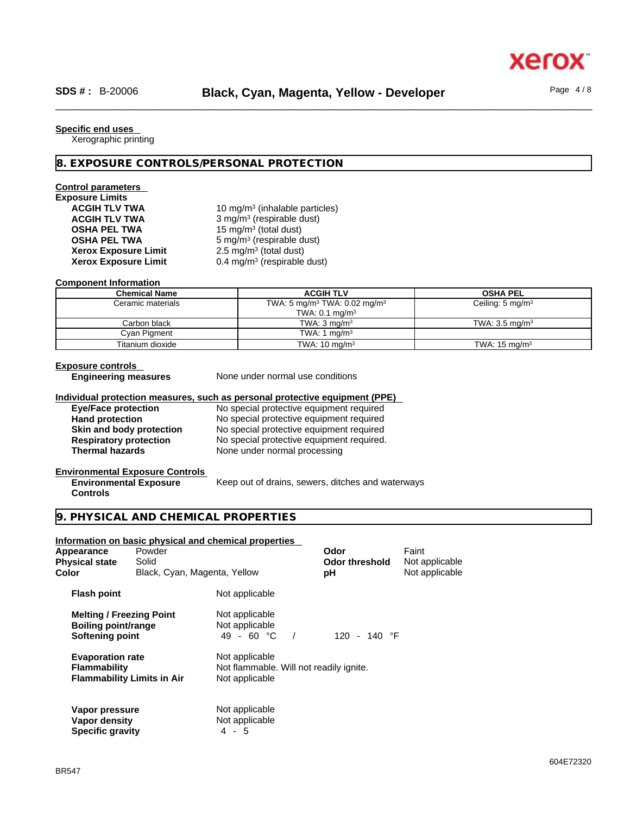# **Specific end uses**

Xerographic printing

# **8. EXPOSURE CONTROLS/PERSONAL PROTECTION**

# **Control parameters**

**Exposure Limits Xerox Exposure Limit<br>Xerox Exposure Limit** 

**ACGIH TLV TWA** 10 mg/m<sup>3</sup> (inhalable particles) **ACGIH TLV TWA** 3 mg/m<sup>3</sup> (respirable dust) **OSHA PEL TWA** 15 mg/m<sup>3</sup> (total dust) **OSHA PEL TWA** 5 mg/m<sup>3</sup> (respirable dust)  $2.5 \text{ mg/m}^3$  (total dust) **Xerox Exposure Limit** 0.4 mg/m<sup>3</sup> (respirable dust)

### **Component Information**

| <b>Chemical Name</b> | <b>ACGIH TLV</b>                                     | <b>OSHA PEL</b>             |
|----------------------|------------------------------------------------------|-----------------------------|
| Ceramic materials    | TWA: 5 mg/m <sup>3</sup> TWA: 0.02 mg/m <sup>3</sup> | Ceiling: $5 \text{ mg/m}^3$ |
|                      | TWA: $0.1 \text{ mg/m}^3$                            |                             |
| Carbon black         | TWA: $3 \text{ ma/m}^3$                              | TWA: $3.5 \text{ ma/m}^3$   |
| Cyan Pigment         | TWA: 1 mg/m <sup>3</sup>                             |                             |
| Titanium dioxide     | TWA: $10 \text{ mg/m}^3$                             | TWA: $15 \text{ mg/m}^3$    |

#### **Exposure controls**

**Engineering measures** None under normal use conditions

#### **Individual protection measures, such as personal protective equipment (PPE)**

**Eye/Face protection**<br> **Exercise 20 No special protective equipment required**<br>
No special protective equipment required **Hand protection**<br> **Skin and body protection**<br>
No special protective equipment required<br>
No special protective equipment required **Skin and body protection** No special protective equipment required<br> **Respiratory protection** No special protective equipment required. No special protective equipment required. **Thermal hazards** None under normal processing

#### **Environmental Exposure Controls Environmental Exposure**

Keep out of drains, sewers, ditches and waterways

# **Controls**

# **9. PHYSICAL AND CHEMICAL PROPERTIES**

|                                                                           |                                   | Information on basic physical and chemical properties                       |                        |                         |  |
|---------------------------------------------------------------------------|-----------------------------------|-----------------------------------------------------------------------------|------------------------|-------------------------|--|
| Appearance<br><b>Physical state</b>                                       | Powder<br>Solid                   |                                                                             | Odor<br>Odor threshold | Faint<br>Not applicable |  |
| Color                                                                     | Black, Cyan, Magenta, Yellow      |                                                                             | рH                     | Not applicable          |  |
| <b>Flash point</b>                                                        |                                   | Not applicable                                                              |                        |                         |  |
| <b>Melting / Freezing Point</b><br>Boiling point/range<br>Softening point |                                   | Not applicable<br>Not applicable<br>49 - 60 °C<br>$\overline{\phantom{a}}$  | 120 - 140 °F           |                         |  |
| <b>Evaporation rate</b><br><b>Flammability</b>                            | <b>Flammability Limits in Air</b> | Not applicable<br>Not flammable. Will not readily ignite.<br>Not applicable |                        |                         |  |
| Vapor pressure<br>Vapor density<br><b>Specific gravity</b>                |                                   | Not applicable<br>Not applicable<br>4 - 5                                   |                        |                         |  |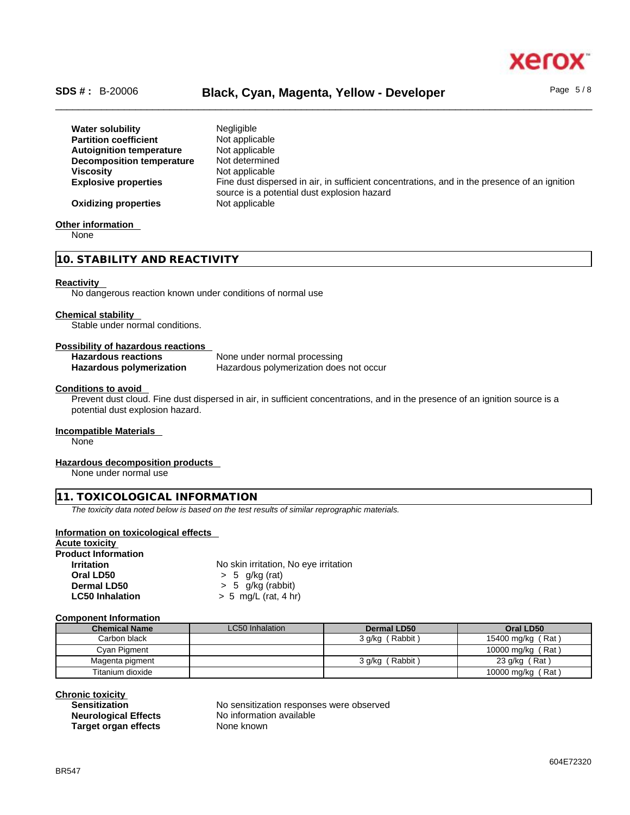

# \_\_\_\_\_\_\_\_\_\_\_\_\_\_\_\_\_\_\_\_\_\_\_\_\_\_\_\_\_\_\_\_\_\_\_\_\_\_\_\_\_\_\_\_\_\_\_\_\_\_\_\_\_\_\_\_\_\_\_\_\_\_\_\_\_\_\_\_\_\_\_\_\_\_\_\_\_\_\_\_\_\_\_\_\_\_\_\_\_\_\_\_\_\_ **SDS # :** B-20006 **Black, Cyan, Magenta, Yellow - Developer** Page 5 / 8

| <b>Water solubility</b>         | <b>Negligible</b>                                                                            |
|---------------------------------|----------------------------------------------------------------------------------------------|
| <b>Partition coefficient</b>    | Not applicable                                                                               |
| <b>Autoignition temperature</b> | Not applicable                                                                               |
| Decomposition temperature       | Not determined                                                                               |
| <b>Viscosity</b>                | Not applicable                                                                               |
| <b>Explosive properties</b>     | Fine dust dispersed in air, in sufficient concentrations, and in the presence of an ignition |
|                                 | source is a potential dust explosion hazard                                                  |
| <b>Oxidizing properties</b>     | Not applicable                                                                               |
|                                 |                                                                                              |

## **Other information**

None

# **10. STABILITY AND REACTIVITY**

#### **Reactivity**

No dangerous reaction known under conditions of normal use

#### **Chemical stability**

**Stable under normal conditions.** 

### **Possibility of hazardous reactions**

| <b>Hazardous reactions</b> | None under normal processing            |
|----------------------------|-----------------------------------------|
| Hazardous polymerization   | Hazardous polymerization does not occur |

## **Conditions to avoid**

Prevent dust cloud. Fine dust dispersed in air, in sufficient concentrations, and in the presence of an ignition source is a potential dust explosion hazard.

# **Incompatible Materials**

None

# **Hazardous decomposition products**

None under normal use

# **11. TOXICOLOGICAL INFORMATION**

*The toxicity data noted below is based on the test results of similar reprographic materials.* 

# **Information on toxicological effects**

**Acute toxicity Product Information Irritation** No skin irritation, No eye irritation **Oral LD50** > 5 g/kg (rat) **Dermal LD50**  $\rightarrow$  5 g/kg (rabbit)<br> **LC50 Inhalation**  $\rightarrow$  5 mg/L (rat. 4 h **LC50 Inhalation** > 5 mg/L (rat, 4 hr)

## **Component Information**

| <b>Chemical Name</b> | LC50 Inhalation | Dermal LD50     | Oral LD50         |
|----------------------|-----------------|-----------------|-------------------|
| Carbon black         |                 | 3 g/kg (Rabbit) | 15400 mg/kg (Rat) |
| Cyan Pigment         |                 |                 | 10000 mg/kg (Rat) |
| Magenta pigment      |                 | 3 g/kg (Rabbit) | 23 g/kg (Rat)     |
| Titanium dioxide     |                 |                 | 10000 mg/kg (Rat) |

**Chronic toxicity**

**Neurological Effects** No information No **Neurological Effects** No **No No Report Target organ effects** 

No sensitization responses were observed<br>No information available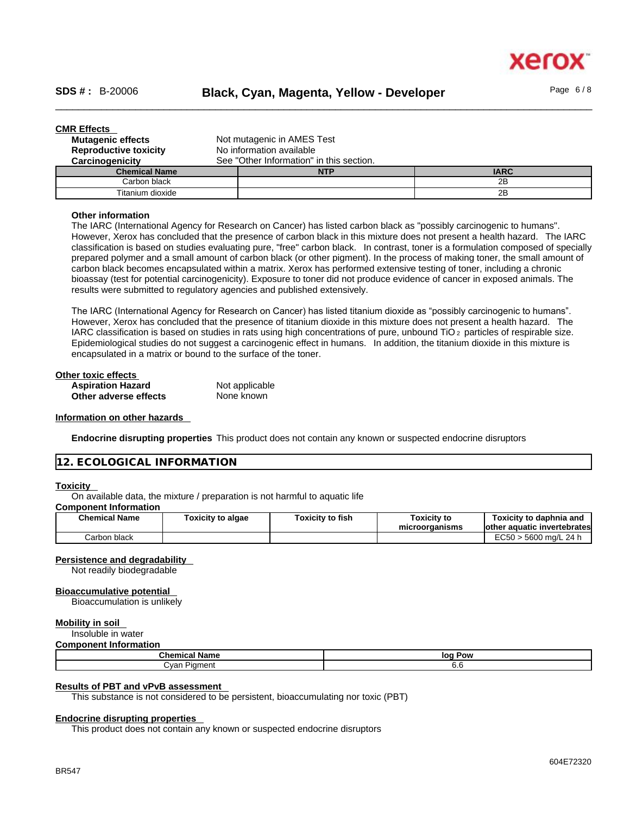

| <b>CMR Effects</b>           |                                          |             |
|------------------------------|------------------------------------------|-------------|
| <b>Mutagenic effects</b>     | Not mutagenic in AMES Test               |             |
| <b>Reproductive toxicity</b> | No information available                 |             |
| Carcinogenicity              | See "Other Information" in this section. |             |
| <b>Chemical Name</b>         | <b>NTP</b>                               | <b>IARC</b> |
| Carbon black                 |                                          | 2B          |
| Titanium dioxide             |                                          | 2Β          |

#### **Other information**

The IARC (International Agency for Research on Cancer) has listed carbon black as "possibly carcinogenic to humans". However, Xerox has concluded that the presence of carbon black in this mixture does not present a health hazard. The IARC classification is based on studies evaluating pure, "free" carbon black. In contrast, toner is a formulation composed of specially prepared polymer and a small amount of carbon black (or other pigment). In the process of making toner, the small amount of carbon black becomes encapsulated within a matrix. Xerox has performed extensive testing of toner, including a chronic bioassay (test for potential carcinogenicity). Exposure to toner did not produce evidence of cancer in exposed animals. The results were submitted to regulatory agencies and published extensively.

The IARC (International Agency for Research on Cancer) has listed titanium dioxide as "possibly carcinogenic to humans". However, Xerox has concluded that the presence of titanium dioxide in this mixture does not present a health hazard. The IARC classification is based on studies in rats using high concentrations of pure, unbound TiO 2 particles of respirable size. Epidemiological studies do not suggest a carcinogenic effect in humans. In addition, the titanium dioxide in this mixture is encapsulated in a matrix or bound to the surface of the toner.

| Other toxic effects      |                |  |
|--------------------------|----------------|--|
| <b>Aspiration Hazard</b> | Not applicable |  |
| Other adverse effects    | None known     |  |

# **Information on other hazards**

**Endocrine disrupting properties** This product does not contain any known or suspected endocrine disruptors

# **12. ECOLOGICAL INFORMATION**

### **Toxicity**

On available data, the mixture / preparation is not harmful to aquatic life

# **Component Information**

| <b>Chemical Name</b> | Toxicity to algae | <b>Toxicity to fish</b> | Toxicitv to<br>microorganisms | Toxicity to daphnia and<br>lother aquatic invertebrates |
|----------------------|-------------------|-------------------------|-------------------------------|---------------------------------------------------------|
| Carbon black         |                   |                         |                               | i > 5600 ma/L 24 h<br>EC50.                             |

# **Persistence and degradability**

Not readily biodegradable

#### **Bioaccumulative potential**

Bioaccumulation is unlikely

## **Mobility in soil**

Insoluble in water **Component Information**

| <b>POINTING INTO INTERNATIONAL</b> |            |  |
|------------------------------------|------------|--|
| <b>Chemical Name</b>               | Pow<br>log |  |
| ∵van<br>Diamont<br>$\mathbf{v}$    | v.v        |  |

#### **Results of PBT and vPvB assessment**

This substance is not considered to be persistent, bioaccumulating nor toxic (PBT)

# **Endocrine disrupting properties**

This product does not contain any known or suspected endocrine disruptors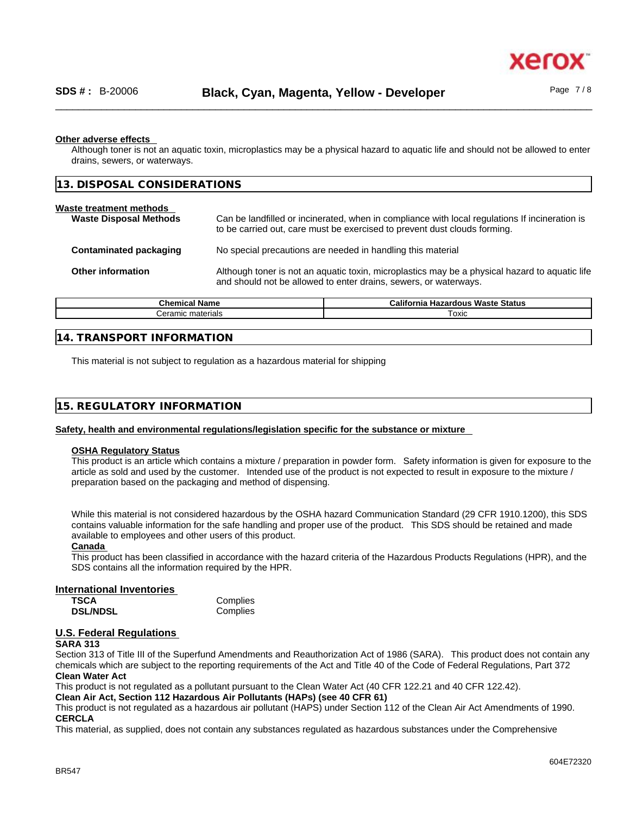# **Other adverse effects**

Although toner is not an aquatic toxin, microplastics may be a physical hazard to aquatic life and should not be allowed to enter drains, sewers, or waterways.

| 13. DISPOSAL CONSIDERATIONS                              |                                                                                                                                                                             |
|----------------------------------------------------------|-----------------------------------------------------------------------------------------------------------------------------------------------------------------------------|
| Waste treatment methods<br><b>Waste Disposal Methods</b> | Can be landfilled or incinerated, when in compliance with local regulations If incineration is<br>to be carried out, care must be exercised to prevent dust clouds forming. |
| Contaminated packaging                                   | No special precautions are needed in handling this material                                                                                                                 |
| Other information                                        | Although toner is not an aquatic toxin, microplastics may be a physical hazard to aquatic life<br>and should not be allowed to enter drains, sewers, or waterways.          |
|                                                          |                                                                                                                                                                             |

| <b>Chemical Name</b>      | California<br><b>Hazardous Waste Status</b> |
|---------------------------|---------------------------------------------|
| <i>J</i> eramic materials | Гохіс                                       |
|                           |                                             |

# **14. TRANSPORT INFORMATION**

This material is not subject to regulation as a hazardous material for shipping

| 15. REGULATORY INFORMATION |
|----------------------------|
|----------------------------|

# **Safety, health and environmental regulations/legislation specific for the substance or mixture**

## **OSHA Regulatory Status**

This product is an article which contains a mixture / preparation in powder form. Safety information is given for exposure to the article as sold and used by the customer. Intended use of the product is not expected to result in exposure to the mixture / preparation based on the packaging and method of dispensing.

While this material is not considered hazardous by the OSHA hazard Communication Standard (29 CFR 1910.1200), this SDS contains valuable information for the safe handling and proper use of the product. This SDS should be retained and made available to employees and other users of this product.

# **Canada**

This product has been classified in accordance with the hazard criteria of the Hazardous Products Regulations (HPR), and the SDS contains all the information required by the HPR.

## **International Inventories**

| TSCA            | Complies |
|-----------------|----------|
| <b>DSL/NDSL</b> | Complies |

# **U.S. Federal Regulations**

# **SARA 313**

Section 313 of Title III of the Superfund Amendments and Reauthorization Act of 1986 (SARA). This product does not contain any chemicals which are subject to the reporting requirements of the Act and Title 40 of the Code of Federal Regulations, Part 372 **Clean Water Act**

This product is not regulated as a pollutant pursuant to the Clean Water Act (40 CFR 122.21 and 40 CFR 122.42).

**Clean Air Act,Section 112 Hazardous Air Pollutants (HAPs) (see 40 CFR 61)**

This product is not regulated as a hazardous air pollutant (HAPS) under Section 112 of the Clean Air Act Amendments of 1990. **CERCLA**

This material, as supplied, does not contain any substances regulated as hazardous substances under the Comprehensive